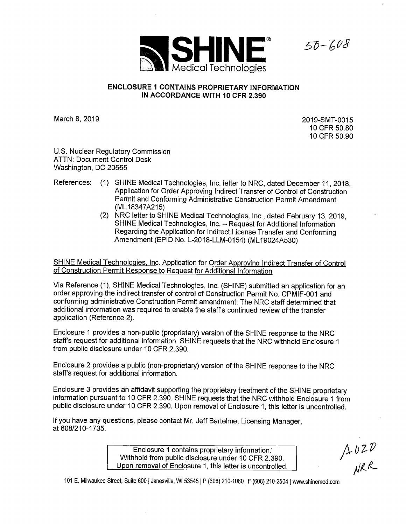

## **ENCLOSURE 1 CONTAINS PROPRIETARY INFORMATION IN ACCORDANCE WITH 10 CFR 2.390**

March 8, 2019

2019-SMT-0015 10 CFR 50.80 10 CFR 50.90

 $50 - 608$ 

U.S. Nuclear Regulatory Commission ATTN: Document Control Desk Washington, DC 20555

- References: (1) SHINE Medical Technologies, Inc. letter to NRC, dated December 11, 2018, Application for Order Approving Indirect Transfer of Control of Construction Permit and Conforming Administrative Construction Permit Amendment (ML 18347A215)
	- (2) NRC letter to SHINE Medical Technologies, Inc., dated February 13, 2019, SHINE Medical Technologies, Inc. - Request for Additional Information Regarding the Application for Indirect License Transfer and Conforming Amendment (EPID No. L-2018-LLM-0154) (ML 19024A530)

SHINE Medical Technologies, Inc. Application for Order Approving Indirect Transfer of Control of Construction Permit Response to Request for Additional Information

Via Reference (1), SHINE Medical Technologies, Inc. (SHINE) submitted an application for an order approving the indirect transfer of control of Construction Permit No. CPMIF-001 and conforming administrative Construction Permit amendment. The NRC staff determined that additional information was required to enable.the staff's continued review of the transfer application (Reference 2).

Enclosure 1 provides a non-public (proprietary) version of the SHINE response to the NRC staff's request for additional information. SHINE requests that the NRC withhold Enclosure 1 from public disclosure under 10 CFR 2.390.

Enclosure 2 provides a public (non-proprietary) version of the SHINE response to the NRC staff's request for additional information.

Enclosure 3 provides an affidavit supporting the proprietary treatment of the SHINE proprietary information pursuant to 10 CFR 2.390. SHINE requests that the NRC withhold Enclosure 1 from public disclosure under 10 CFR 2.390. Upon removal of Enclosure 1, this letter is uncontrolled.

If you have any questions, please contact Mr. Jeff Bartelme, Licensing Manager, at 608/210-1735.

> Enclosure 1 contains proprietary information. Withhold from public disclosure under 10 CFR 2.390. Upon removal of Enclosure 1, this letter is uncontrolled.

 $A020$ <br>NRR

101 E. Milwaukee Street, Suite 600 | Janesville, WI 53545 | P (608) 210-1060 | F (608) 210-2504 | www.shinemed.com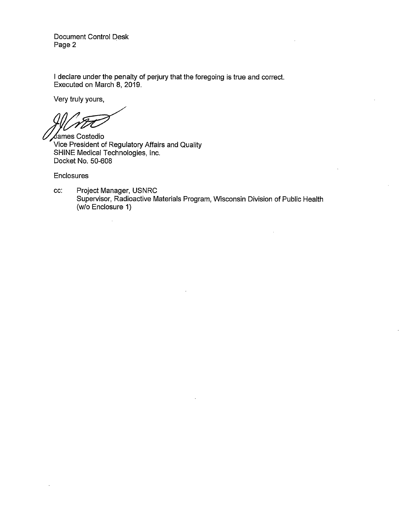Document Control Desk Page 2

I declare under the penalty of perjury that the foregoing is true and correct. Executed on March 8, 2019.

Very truly yours,

)<br>James Costedio

Vice President of Regulatory Affairs and Quality SHINE Medical Technologies, Inc. Docket No. 50-608

 $\bar{z}$ 

Enclosures

cc: Project Manager, USNRC Supervisor, Radioactive Materials Program, Wisconsin Division of Public Health (w/o Enclosure 1)